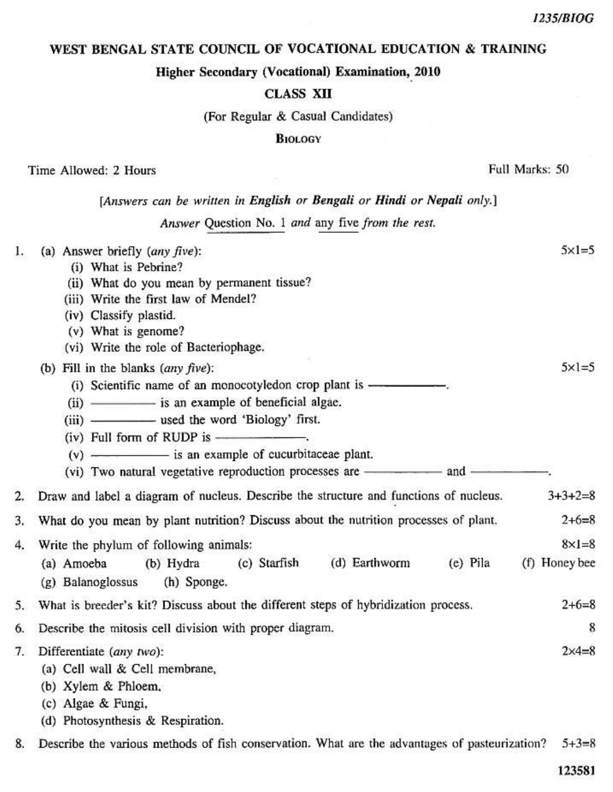## WEST BENGAL STATE COUNCIL OF VOCATIONAL EDUCATION & TRAINING

Higher Secondary (Vocational) Examination, 2010

## **CLASS XII**

(For Regular & Casual Candidates)

#### **BIOLOGY**

Time Allowed: 2 Hours

Full Marks: 50

# [Answers can be written in English or Bengali or Hindi or Nepali only.]

Answer Question No. 1 and any five from the rest.

| ı. | (a) Answer briefly (any five):                                                                               | $5\times1=5$     |
|----|--------------------------------------------------------------------------------------------------------------|------------------|
|    | (i) What is Pebrine?                                                                                         |                  |
|    | (ii) What do you mean by permanent tissue?                                                                   |                  |
|    | (iii) Write the first law of Mendel?                                                                         |                  |
|    | (iv) Classify plastid.                                                                                       |                  |
|    | (v) What is genome?                                                                                          |                  |
|    | (vi) Write the role of Bacteriophage.                                                                        |                  |
|    | (b) Fill in the blanks $(\text{any five})$ :                                                                 | $5 \times 1 = 5$ |
|    | (i) Scientific name of an monocotyledon crop plant is ——                                                     |                  |
|    | (ii) - is an example of beneficial algae.                                                                    |                  |
|    | (iii) - used the word 'Biology' first.                                                                       |                  |
|    |                                                                                                              |                  |
|    | $(v)$ $\longrightarrow$ is an example of cucurbitaceae plant.                                                |                  |
|    |                                                                                                              |                  |
| 2. | Draw and label a diagram of nucleus. Describe the structure and functions of nucleus.                        | $3+3+2=8$        |
| 3. | What do you mean by plant nutrition? Discuss about the nutrition processes of plant.                         | $2+6=8$          |
| 4. | Write the phylum of following animals:                                                                       | $8\times1=8$     |
|    | (d) Earthworm<br>(c) Starfish<br>(e) Pila<br>(a) Amoeba<br>(b) Hydra                                         | (f) Honey bee    |
|    | (g) Balanoglossus<br>(h) Sponge.                                                                             |                  |
| 5. | What is breeder's kit? Discuss about the different steps of hybridization process.                           | $2+6=8$          |
| 6. | Describe the mitosis cell division with proper diagram.                                                      | 8                |
| 7. | Differentiate (any two):                                                                                     | $2 \times 4 = 8$ |
|    | (a) Cell wall & Cell membrane,                                                                               |                  |
|    | (b) Xylem & Phloem,                                                                                          |                  |
|    | (c) Algae & Fungi,                                                                                           |                  |
|    | (d) Photosynthesis & Respiration.                                                                            |                  |
| 8. | Describe the various methods of fish conservation. What are the advantages of pasteurization?<br>$5 + 3 = 8$ |                  |